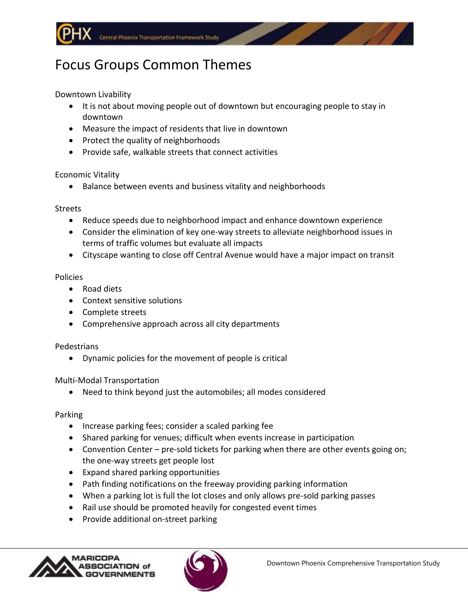# Focus Groups Common Themes

Downtown Livability

- It is not about moving people out of downtown but encouraging people to stay in downtown
- Measure the impact of residents that live in downtown
- Protect the quality of neighborhoods
- Provide safe, walkable streets that connect activities

## Economic Vitality

• Balance between events and business vitality and neighborhoods

## Streets

- Reduce speeds due to neighborhood impact and enhance downtown experience
- Consider the elimination of key one-way streets to alleviate neighborhood issues in terms of traffic volumes but evaluate all impacts
- Cityscape wanting to close off Central Avenue would have a major impact on transit

## Policies

- Road diets
- Context sensitive solutions
- Complete streets
- Comprehensive approach across all city departments

## Pedestrians

Dynamic policies for the movement of people is critical

## Multi-Modal Transportation

Need to think beyond just the automobiles; all modes considered

## Parking

- Increase parking fees; consider a scaled parking fee
- Shared parking for venues; difficult when events increase in participation
- Convention Center pre-sold tickets for parking when there are other events going on; the one-way streets get people lost
- Expand shared parking opportunities
- Path finding notifications on the freeway providing parking information
- When a parking lot is full the lot closes and only allows pre-sold parking passes
- Rail use should be promoted heavily for congested event times
- Provide additional on-street parking